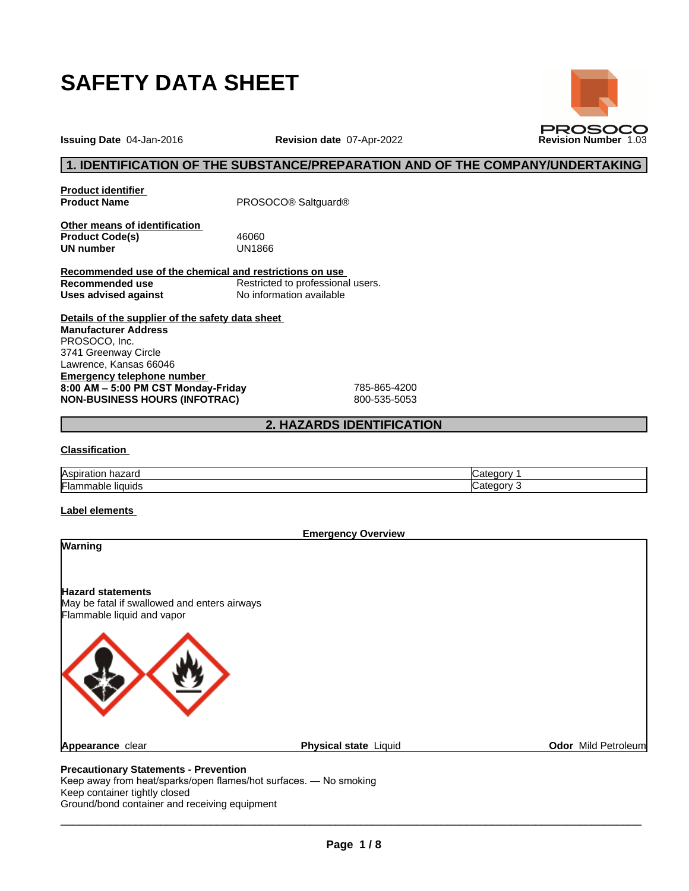

**Issuing Date** 04-Jan-2016 **Revision date** 07-Apr-2022 **Revision Number** 1.03

# **1. IDENTIFICATION OF THE SUBSTANCE/PREPARATION AND OF THE COMPANY/UNDERTAKING**

**PROSOCO** 

**Product identifier**

**Product Name** PROSOCO® Saltguard®

**Other means of identification Product Code(s)** 46060<br> **UN number** UN1866 **UN number** 

**Recommended use of the chemical and restrictions on use Recommended use**<br> **Uses advised against**<br> **No information available No information available** 

**Details of the supplier of the safety data sheet Emergency telephone number 8:00AM–5:00PMCSTMonday-Friday** 785-865-4200 **NON-BUSINESS HOURS (INFOTRAC)** 800-535-5053 **Manufacturer Address** PROSOCO, Inc. 3741 Greenway Circle Lawrence, Kansas 66046

## **2. HAZARDS IDENTIFICATION**

#### **Classification**

| Aspirat <sup>i</sup><br>-------<br>nazaru<br>auor | -----<br>⇔atedor∨    |
|---------------------------------------------------|----------------------|
| <br>liauids<br>∴lar<br>iabie<br>.                 | ----<br>ate.<br>norv |

#### **Label elements**

|                                                                                                        | <b>Emergency Overview</b> |                     |
|--------------------------------------------------------------------------------------------------------|---------------------------|---------------------|
| Warning                                                                                                |                           |                     |
| <b>Hazard statements</b><br>May be fatal if swallowed and enters airways<br>Flammable liquid and vapor |                           |                     |
|                                                                                                        |                           |                     |
| Appearance clear                                                                                       | Physical state Liquid     | Odor Mild Petroleum |

Keep away from heat/sparks/open flames/hot surfaces. — No smoking Keep container tightly closed Ground/bond container and receiving equipment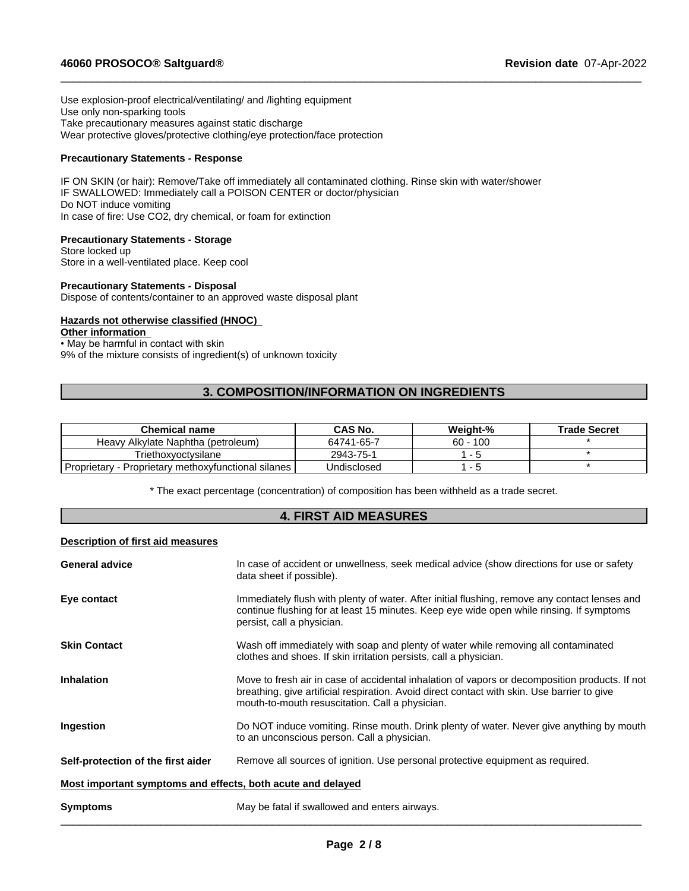Use explosion-proof electrical/ventilating/ and /lighting equipment Use only non-sparking tools Take precautionary measures against static discharge Wear protective gloves/protective clothing/eye protection/face protection

#### **Precautionary Statements - Response**

IF ON SKIN (or hair): Remove/Take off immediately all contaminated clothing. Rinse skin with water/shower IF SWALLOWED: Immediately call a POISON CENTER or doctor/physician Do NOT induce vomiting In case of fire: Use CO2, dry chemical, or foam for extinction

## **Precautionary Statements - Storage**

Store locked up Store in a well-ventilated place. Keep cool

#### **Precautionary Statements - Disposal**

Dispose of contents/container to an approved waste disposal plant

## **Hazards not otherwise classified (HNOC)**

# **Other information**

• May be harmful in contact with skin

9% of the mixture consists of ingredient(s) of unknown toxicity

# **3. COMPOSITION/INFORMATION ON INGREDIENTS**

 $\_$  ,  $\_$  ,  $\_$  ,  $\_$  ,  $\_$  ,  $\_$  ,  $\_$  ,  $\_$  ,  $\_$  ,  $\_$  ,  $\_$  ,  $\_$  ,  $\_$  ,  $\_$  ,  $\_$  ,  $\_$  ,  $\_$  ,  $\_$  ,  $\_$  ,  $\_$  ,  $\_$  ,  $\_$  ,  $\_$  ,  $\_$  ,  $\_$  ,  $\_$  ,  $\_$  ,  $\_$  ,  $\_$  ,  $\_$  ,  $\_$  ,  $\_$  ,  $\_$  ,  $\_$  ,  $\_$  ,  $\_$  ,  $\_$  ,

| <b>Chemical name</b>                                   | CAS No.     | Weiaht-%   | <b>Trade Secret</b> |
|--------------------------------------------------------|-------------|------------|---------------------|
| Heavy Alkylate Naphtha (petroleum)                     | 64741-65-7  | $60 - 100$ |                     |
| Triethoxvoctvsilane                                    | 2943-75-1   | $ -$       |                     |
| Proprietary methoxyfunctional silanes<br>Proprietary - | Undisclosed |            |                     |

\* The exact percentage (concentration) ofcomposition has been withheld as a trade secret.

# **4. FIRST AID MEASURES**

#### **Description of first aid measures**

| <b>Symptoms</b>                                             | May be fatal if swallowed and enters airways.                                                                                                                                                                                                    |
|-------------------------------------------------------------|--------------------------------------------------------------------------------------------------------------------------------------------------------------------------------------------------------------------------------------------------|
| Most important symptoms and effects, both acute and delayed |                                                                                                                                                                                                                                                  |
| Self-protection of the first aider                          | Remove all sources of ignition. Use personal protective equipment as required.                                                                                                                                                                   |
| Ingestion                                                   | Do NOT induce vomiting. Rinse mouth. Drink plenty of water. Never give anything by mouth<br>to an unconscious person. Call a physician.                                                                                                          |
| <b>Inhalation</b>                                           | Move to fresh air in case of accidental inhalation of vapors or decomposition products. If not<br>breathing, give artificial respiration. Avoid direct contact with skin. Use barrier to give<br>mouth-to-mouth resuscitation. Call a physician. |
| <b>Skin Contact</b>                                         | Wash off immediately with soap and plenty of water while removing all contaminated<br>clothes and shoes. If skin irritation persists, call a physician.                                                                                          |
| Eye contact                                                 | Immediately flush with plenty of water. After initial flushing, remove any contact lenses and<br>continue flushing for at least 15 minutes. Keep eye wide open while rinsing. If symptoms<br>persist, call a physician.                          |
| <b>General advice</b>                                       | In case of accident or unwellness, seek medical advice (show directions for use or safety<br>data sheet if possible).                                                                                                                            |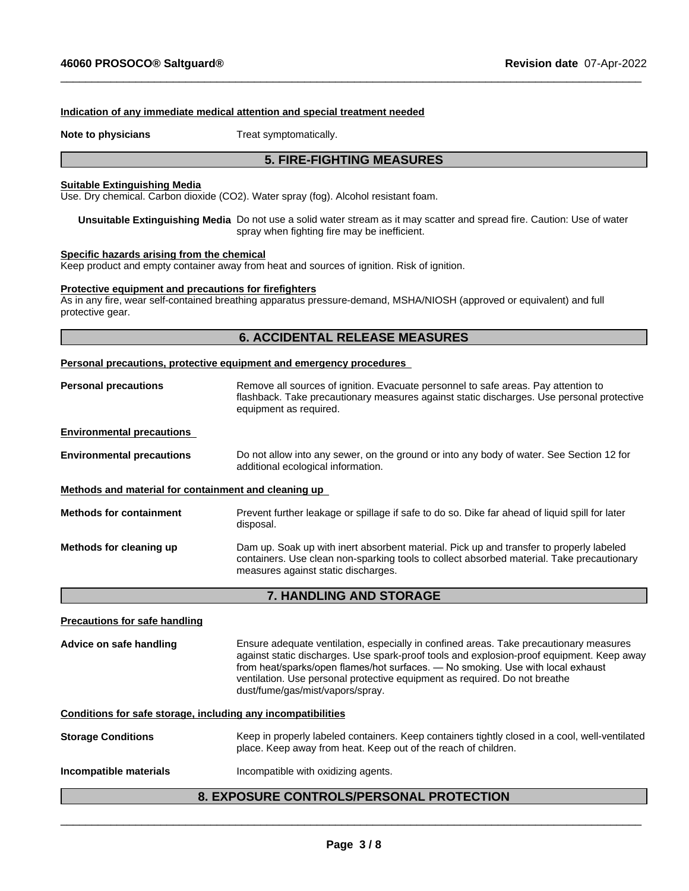#### **Indication of any immediate medical attention and special treatment needed**

**Note to physicians** Treat symptomatically.

# **5. FIRE-FIGHTING MEASURES**

 $\_$  ,  $\_$  ,  $\_$  ,  $\_$  ,  $\_$  ,  $\_$  ,  $\_$  ,  $\_$  ,  $\_$  ,  $\_$  ,  $\_$  ,  $\_$  ,  $\_$  ,  $\_$  ,  $\_$  ,  $\_$  ,  $\_$  ,  $\_$  ,  $\_$  ,  $\_$  ,  $\_$  ,  $\_$  ,  $\_$  ,  $\_$  ,  $\_$  ,  $\_$  ,  $\_$  ,  $\_$  ,  $\_$  ,  $\_$  ,  $\_$  ,  $\_$  ,  $\_$  ,  $\_$  ,  $\_$  ,  $\_$  ,  $\_$  ,

#### **Suitable Extinguishing Media**

Use. Dry chemical. Carbon dioxide (CO2). Water spray (fog). Alcohol resistant foam.

**Unsuitable Extinguishing Media** Do not use a solid water stream as it may scatterand spread fire.Caution: Use of water spray when fighting fire may be inefficient.

#### **Specific hazards arising from the chemical**

Keep product and empty container away from heat and sources of ignition. Risk of ignition.

#### **Protective equipment and precautions for firefighters**

As in any fire, wear self-contained breathing apparatus pressure-demand, MSHA/NIOSH (approved or equivalent) and full protective gear.

# **6. ACCIDENTAL RELEASE MEASURES**

#### **Personal precautions, protective equipment and emergency procedures**

| <b>Personal precautions</b>                          | Remove all sources of ignition. Evacuate personnel to safe areas. Pay attention to<br>flashback. Take precautionary measures against static discharges. Use personal protective<br>equipment as required.                   |
|------------------------------------------------------|-----------------------------------------------------------------------------------------------------------------------------------------------------------------------------------------------------------------------------|
| <b>Environmental precautions</b>                     |                                                                                                                                                                                                                             |
| <b>Environmental precautions</b>                     | Do not allow into any sewer, on the ground or into any body of water. See Section 12 for<br>additional ecological information.                                                                                              |
| Methods and material for containment and cleaning up |                                                                                                                                                                                                                             |
| <b>Methods for containment</b>                       | Prevent further leakage or spillage if safe to do so. Dike far ahead of liquid spill for later<br>disposal.                                                                                                                 |
| Methods for cleaning up                              | Dam up. Soak up with inert absorbent material. Pick up and transfer to properly labeled<br>containers. Use clean non-sparking tools to collect absorbed material. Take precautionary<br>measures against static discharges. |

#### **7. HANDLING AND STORAGE**

**Precautions for safe handling**

**Advice on safe handling** Ensure adequate ventilation, especially in confined areas. Take precautionary measures against static discharges. Use spark-prooftools and explosion-proof equipment. Keep away from heat/sparks/open flames/hot surfaces. — No smoking. Use with local exhaust ventilation. Use personal protective equipment as required. Do not breathe dust/fume/gas/mist/vapors/spray.

**Conditions for safe storage, including any incompatibilities**

**Storage Conditions** Keep in properly labeled containers. Keep containers tightly closed in a cool, well-ventilated place. Keep away from heat. Keep out of the reach of children.

**Incompatible materials Incompatible with oxidizing agents.** 

# **8. EXPOSURE CONTROLS/PERSONAL PROTECTION**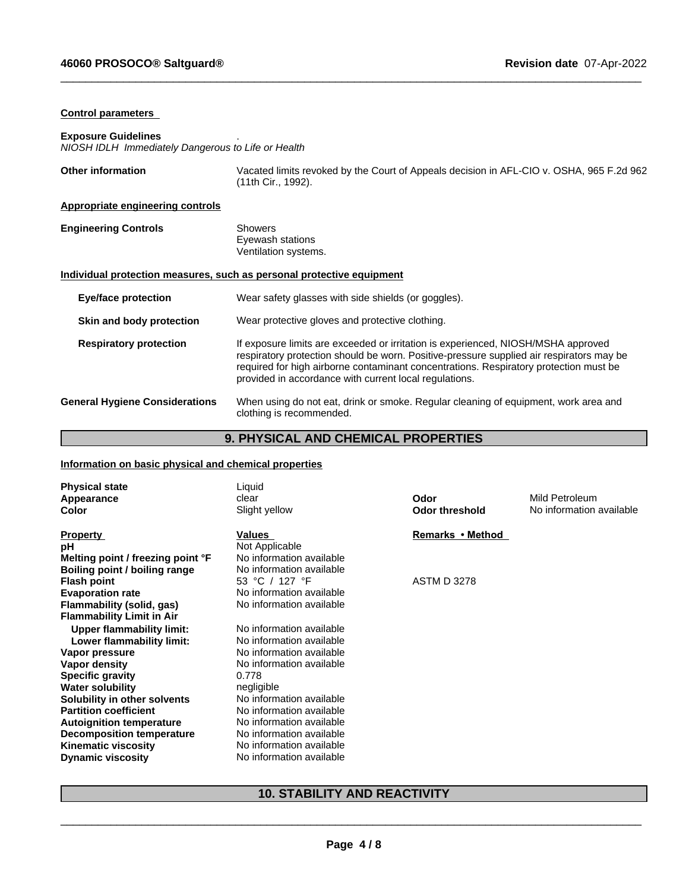# **Control parameters**

# **Exposure Guidelines** .

*NIOSH IDLH Immediately Dangerous to Life or Health*

| <b>Other information</b>                | Vacated limits revoked by the Court of Appeals decision in AFL-CIO v. OSHA, 965 F.2d 962<br>(11th Cir., 1992).                                                                                                                                                                                                                   |
|-----------------------------------------|----------------------------------------------------------------------------------------------------------------------------------------------------------------------------------------------------------------------------------------------------------------------------------------------------------------------------------|
| <b>Appropriate engineering controls</b> |                                                                                                                                                                                                                                                                                                                                  |
| <b>Engineering Controls</b>             | <b>Showers</b><br>Eyewash stations<br>Ventilation systems.                                                                                                                                                                                                                                                                       |
|                                         | Individual protection measures, such as personal protective equipment                                                                                                                                                                                                                                                            |
| Eye/face protection                     | Wear safety glasses with side shields (or goggles).                                                                                                                                                                                                                                                                              |
| Skin and body protection                | Wear protective gloves and protective clothing.                                                                                                                                                                                                                                                                                  |
| <b>Respiratory protection</b>           | If exposure limits are exceeded or irritation is experienced, NIOSH/MSHA approved<br>respiratory protection should be worn. Positive-pressure supplied air respirators may be<br>required for high airborne contaminant concentrations. Respiratory protection must be<br>provided in accordance with current local regulations. |
| <b>General Hygiene Considerations</b>   | When using do not eat, drink or smoke. Regular cleaning of equipment, work area and<br>clothing is recommended.                                                                                                                                                                                                                  |

 $\_$  ,  $\_$  ,  $\_$  ,  $\_$  ,  $\_$  ,  $\_$  ,  $\_$  ,  $\_$  ,  $\_$  ,  $\_$  ,  $\_$  ,  $\_$  ,  $\_$  ,  $\_$  ,  $\_$  ,  $\_$  ,  $\_$  ,  $\_$  ,  $\_$  ,  $\_$  ,  $\_$  ,  $\_$  ,  $\_$  ,  $\_$  ,  $\_$  ,  $\_$  ,  $\_$  ,  $\_$  ,  $\_$  ,  $\_$  ,  $\_$  ,  $\_$  ,  $\_$  ,  $\_$  ,  $\_$  ,  $\_$  ,  $\_$  ,

# **9. PHYSICAL AND CHEMICAL PROPERTIES**

# **Information on basic physical and chemical properties**

| Remarks • Method<br>Values                                                                                                                                                                                                                                                                                                                                                                                                                                                                                                                                                                                                                                                                                                                                                                                                                                                               | <b>Physical state</b><br>Appearance<br>Color | Liquid<br>clear<br>Slight yellow | Odor<br><b>Odor threshold</b> | Mild Petroleum<br>No information available |
|------------------------------------------------------------------------------------------------------------------------------------------------------------------------------------------------------------------------------------------------------------------------------------------------------------------------------------------------------------------------------------------------------------------------------------------------------------------------------------------------------------------------------------------------------------------------------------------------------------------------------------------------------------------------------------------------------------------------------------------------------------------------------------------------------------------------------------------------------------------------------------------|----------------------------------------------|----------------------------------|-------------------------------|--------------------------------------------|
| Not Applicable<br>рH<br>Melting point / freezing point °F<br>No information available<br>No information available<br>Boiling point / boiling range                                                                                                                                                                                                                                                                                                                                                                                                                                                                                                                                                                                                                                                                                                                                       | <b>Property</b>                              |                                  |                               |                                            |
| 53 °C / 127 °F<br><b>ASTM D 3278</b><br><b>Flash point</b><br>No information available<br><b>Evaporation rate</b><br>No information available<br>Flammability (solid, gas)<br><b>Flammability Limit in Air</b><br>No information available<br><b>Upper flammability limit:</b><br>No information available<br>Lower flammability limit:<br>No information available<br>Vapor pressure<br>No information available<br>Vapor density<br><b>Specific gravity</b><br>0.778<br><b>Water solubility</b><br>negligible<br>No information available<br>Solubility in other solvents<br><b>Partition coefficient</b><br>No information available<br>No information available<br><b>Autoignition temperature</b><br>No information available<br><b>Decomposition temperature</b><br><b>Kinematic viscosity</b><br>No information available<br>No information available<br><b>Dynamic viscosity</b> |                                              |                                  |                               |                                            |

# **10. STABILITY AND REACTIVITY**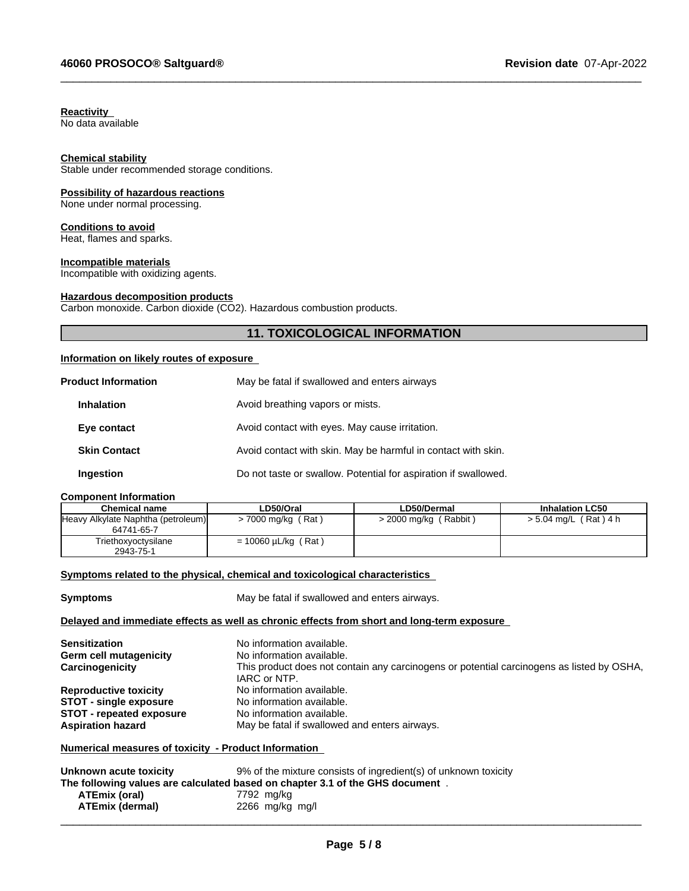# **Reactivity**

No data available

#### **Chemical stability**

Stable under recommended storage conditions.

# **Possibility of hazardous reactions**

None under normal processing.

#### **Conditions to avoid**

Heat, flames and sparks.

## **Incompatible materials**

Incompatible with oxidizing agents.

## **Hazardous decomposition products**

Carbon monoxide. Carbon dioxide (CO2). Hazardous combustion products.

## **11. TOXICOLOGICAL INFORMATION**

 $\_$  ,  $\_$  ,  $\_$  ,  $\_$  ,  $\_$  ,  $\_$  ,  $\_$  ,  $\_$  ,  $\_$  ,  $\_$  ,  $\_$  ,  $\_$  ,  $\_$  ,  $\_$  ,  $\_$  ,  $\_$  ,  $\_$  ,  $\_$  ,  $\_$  ,  $\_$  ,  $\_$  ,  $\_$  ,  $\_$  ,  $\_$  ,  $\_$  ,  $\_$  ,  $\_$  ,  $\_$  ,  $\_$  ,  $\_$  ,  $\_$  ,  $\_$  ,  $\_$  ,  $\_$  ,  $\_$  ,  $\_$  ,  $\_$  ,

# **Information on likely routes of exposure**

| <b>Product Information</b> | May be fatal if swallowed and enters airways                    |
|----------------------------|-----------------------------------------------------------------|
| <b>Inhalation</b>          | Avoid breathing vapors or mists.                                |
| Eye contact                | Avoid contact with eyes. May cause irritation.                  |
| <b>Skin Contact</b>        | Avoid contact with skin. May be harmful in contact with skin.   |
| <b>Ingestion</b>           | Do not taste or swallow. Potential for aspiration if swallowed. |

#### **Component Information**

| <b>Chemical name</b>                             | <b>_D50/Oral</b>         | <b>LD50/Dermal</b>      | <b>Inhalation LC50</b> |
|--------------------------------------------------|--------------------------|-------------------------|------------------------|
| Heavy Alkylate Naphtha (petroleum)<br>64741-65-7 | $>$ 7000 mg/kg (Rat)     | $>$ 2000 mg/kg (Rabbit) | > 5.04 mg/L (Rat) 4 h  |
| Triethoxyoctysilane<br>2943-75-1                 | $= 10060 \mu L/kg$ (Rat) |                         |                        |

## **<u>Symptoms related to the physical, chemical and toxicological characteristics</u>**

**Symptoms** May be fatal if swallowed and enters airways.

#### **Delayed and immediate effects as well as chronic effects from short and long-term exposure**

| <b>Sensitization</b><br>Germ cell mutagenicity<br>Carcinogenicity | No information available.<br>No information available.<br>This product does not contain any carcinogens or potential carcinogens as listed by OSHA,<br>IARC or NTP. |
|-------------------------------------------------------------------|---------------------------------------------------------------------------------------------------------------------------------------------------------------------|
| <b>Reproductive toxicity</b>                                      | No information available.                                                                                                                                           |
| <b>STOT - single exposure</b>                                     | No information available.                                                                                                                                           |
| <b>STOT - repeated exposure</b>                                   | No information available.                                                                                                                                           |
| <b>Aspiration hazard</b>                                          | May be fatal if swallowed and enters airways.                                                                                                                       |

#### **Numerical measures of toxicity - Product Information**

| Unknown acute toxicity | 9% of the mixture consists of ingredient(s) of unknown toxicity               |
|------------------------|-------------------------------------------------------------------------------|
|                        | The following values are calculated based on chapter 3.1 of the GHS document. |
| ATEmix (oral)          | 7792 mg/kg                                                                    |
| ATEmix (dermal)        | 2266 mg/kg mg/l                                                               |
|                        |                                                                               |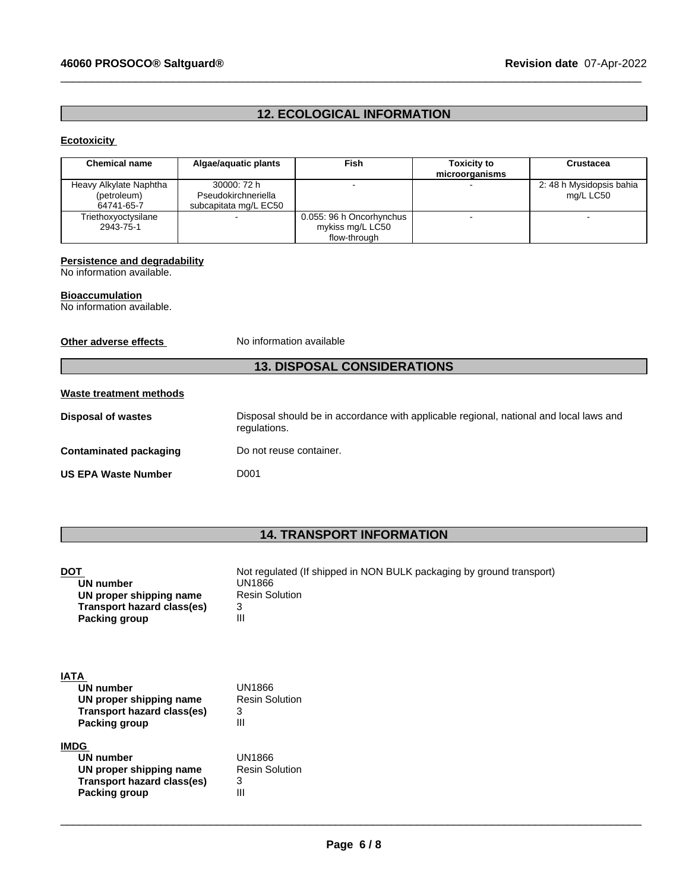# **46060 PROSOCO® Saltguard® Revision date** 07-Apr-2022

# **12. ECOLOGICAL INFORMATION**

 $\_$  ,  $\_$  ,  $\_$  ,  $\_$  ,  $\_$  ,  $\_$  ,  $\_$  ,  $\_$  ,  $\_$  ,  $\_$  ,  $\_$  ,  $\_$  ,  $\_$  ,  $\_$  ,  $\_$  ,  $\_$  ,  $\_$  ,  $\_$  ,  $\_$  ,  $\_$  ,  $\_$  ,  $\_$  ,  $\_$  ,  $\_$  ,  $\_$  ,  $\_$  ,  $\_$  ,  $\_$  ,  $\_$  ,  $\_$  ,  $\_$  ,  $\_$  ,  $\_$  ,  $\_$  ,  $\_$  ,  $\_$  ,  $\_$  ,

# **Ecotoxicity**

| <b>Chemical name</b>                                | Algae/aquatic plants                                        | Fish                                                         | <b>Toxicity to</b><br>microorganisms | Crustacea                             |
|-----------------------------------------------------|-------------------------------------------------------------|--------------------------------------------------------------|--------------------------------------|---------------------------------------|
| Heavy Alkylate Naphtha<br>(petroleum)<br>64741-65-7 | 30000: 72 h<br>Pseudokirchneriella<br>subcapitata mg/L EC50 |                                                              |                                      | 2: 48 h Mysidopsis bahia<br>mg/L LC50 |
| Triethoxyoctysilane<br>2943-75-1                    |                                                             | 0.055: 96 h Oncorhynchus<br>mykiss mg/L LC50<br>flow-through |                                      |                                       |

# **Persistence and degradability**

No information available.

# **Bioaccumulation**

No information available.

**Other adverse effects** No information available

# **13. DISPOSAL CONSIDERATIONS**

# **Waste treatment methods**

**Transport hazard class(es)** 3<br>**Packing group** |||

**Packing group** 

| Disposal of wastes            | Disposal should be in accordance with applicable regional, national and local laws and<br>regulations. |
|-------------------------------|--------------------------------------------------------------------------------------------------------|
| <b>Contaminated packaging</b> | Do not reuse container.                                                                                |
| <b>US EPA Waste Number</b>    | D001                                                                                                   |

# **14. TRANSPORT INFORMATION**

| <b>DOT</b><br><b>UN number</b><br>UN proper shipping name<br>Transport hazard class(es)<br>Packing group | Not regulated (If shipped in NON BULK packaging by ground transport)<br>UN1866<br><b>Resin Solution</b><br>3<br>Ш |
|----------------------------------------------------------------------------------------------------------|-------------------------------------------------------------------------------------------------------------------|
| <b>IATA</b>                                                                                              |                                                                                                                   |
| UN number                                                                                                | UN1866                                                                                                            |
| UN proper shipping name                                                                                  | <b>Resin Solution</b>                                                                                             |
| Transport hazard class(es)                                                                               | 3                                                                                                                 |
| Packing group                                                                                            | Ш                                                                                                                 |
| <b>IMDG</b>                                                                                              |                                                                                                                   |
| <b>UN number</b>                                                                                         | UN1866                                                                                                            |
| UN proper shipping name                                                                                  | <b>Resin Solution</b>                                                                                             |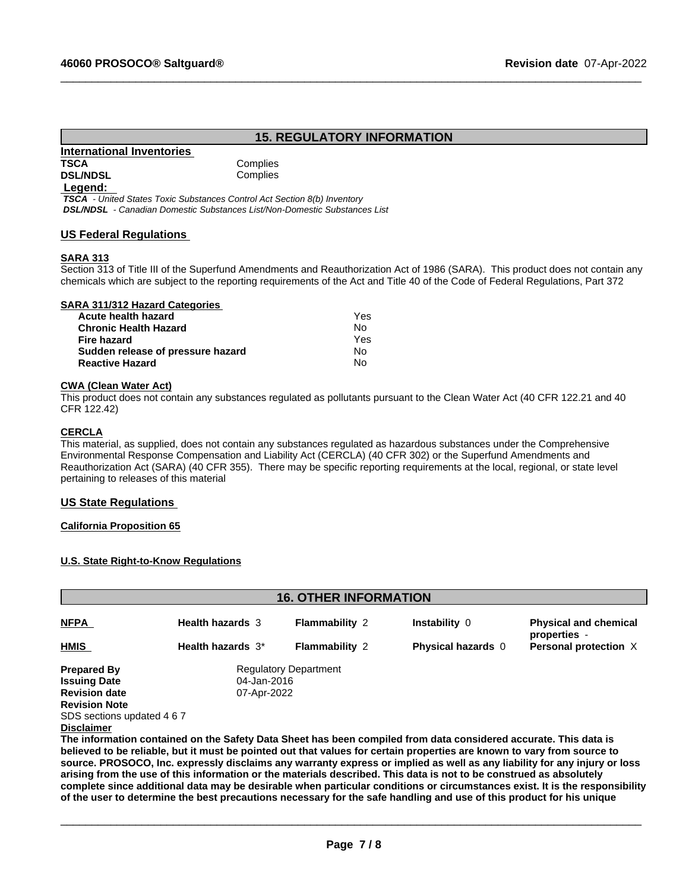# **15. REGULATORY INFORMATION**

 $\_$  ,  $\_$  ,  $\_$  ,  $\_$  ,  $\_$  ,  $\_$  ,  $\_$  ,  $\_$  ,  $\_$  ,  $\_$  ,  $\_$  ,  $\_$  ,  $\_$  ,  $\_$  ,  $\_$  ,  $\_$  ,  $\_$  ,  $\_$  ,  $\_$  ,  $\_$  ,  $\_$  ,  $\_$  ,  $\_$  ,  $\_$  ,  $\_$  ,  $\_$  ,  $\_$  ,  $\_$  ,  $\_$  ,  $\_$  ,  $\_$  ,  $\_$  ,  $\_$  ,  $\_$  ,  $\_$  ,  $\_$  ,  $\_$  ,

#### **International Inventories TSCA** Complies **DSL/NDSL** Complies

#### **Legend:**

 *TSCA - United States Toxic Substances Control Act Section 8(b) Inventory DSL/NDSL - Canadian Domestic Substances List/Non-Domestic Substances List*

# **US Federal Regulations**

#### **SARA 313**

Section 313 of Title III of the Superfund Amendments and Reauthorization Act of 1986 (SARA). This product does not contain any chemicals which are subject to the reporting requirements of the Act and Title 40 of the Code of Federal Regulations, Part 372

#### **SARA 311/312 Hazard Categories**

| Acute health hazard               | Yes |  |
|-----------------------------------|-----|--|
| Chronic Health Hazard             | No. |  |
| Fire hazard                       | Yes |  |
| Sudden release of pressure hazard | No. |  |
| Reactive Hazard                   | Nο  |  |

#### **CWA (Clean WaterAct)**

This product does not contain any substances regulated as pollutants pursuant to the Clean Water Act (40 CFR 122.21 and 40 CFR 122.42)

#### **CERCLA**

This material, as supplied, does not contain any substances regulated as hazardous substances under the Comprehensive Environmental Response Compensation and Liability Act (CERCLA) (40 CFR 302) or the Superfund Amendments and Reauthorization Act (SARA) (40 CFR 355). There may be specific reporting requirements at the local, regional, or state level pertaining to releases of this material

## **US State Regulations**

#### **California Proposition 65**

#### **U.S. State Right-to-Know Regulations**

| <b>16. OTHER INFORMATION</b> |                              |                       |                           |                                              |  |  |  |
|------------------------------|------------------------------|-----------------------|---------------------------|----------------------------------------------|--|--|--|
| <b>NFPA</b>                  | <b>Health hazards 3</b>      | <b>Flammability 2</b> | Instability 0             | <b>Physical and chemical</b><br>properties - |  |  |  |
| HMIS                         | Health hazards 3*            | <b>Flammability 2</b> | <b>Physical hazards 0</b> | Personal protection X                        |  |  |  |
| <b>Prepared By</b>           | <b>Regulatory Department</b> |                       |                           |                                              |  |  |  |
| <b>Issuing Date</b>          | 04-Jan-2016                  |                       |                           |                                              |  |  |  |
| <b>Revision date</b>         | 07-Apr-2022                  |                       |                           |                                              |  |  |  |
| <b>Revision Note</b>         |                              |                       |                           |                                              |  |  |  |
| SDS sections updated 4 6 7   |                              |                       |                           |                                              |  |  |  |
| <b>Disclaimer</b>            |                              |                       |                           |                                              |  |  |  |

The information contained on the Safety Data Sheet has been compiled from data considered accurate. This data is believed to be reliable, but it must be pointed out that values for certain properties are known to vary from source to source. PROSOCO, Inc. expressly disclaims any warranty express or implied as well as any liability for any injury or loss arising from the use of this information or the materials described. This data is not to be construed as absolutely complete since additional data may be desirable when particular conditions or circumstances exist. It is the responsibility of the user to determine the best precautions necessary for the safe handling and use of this product for his unique